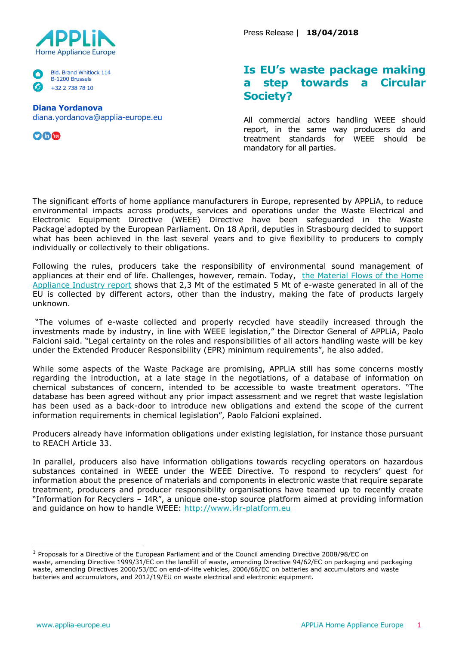

Bld. Brand Whitlock 114 B-1200 Brussels +32 2 738 78 10

## **Diana Yordanova**

diana.yordanova@applia-europe.eu

 $\bigcirc$  for  $\bigcirc$ 

Press Release | **18/04/2018**

## **Is EU's waste package making a step towards a Circular Society?**

All commercial actors handling WEEE should report, in the same way producers do and treatment standards for WEEE should be mandatory for all parties.

The significant efforts of home appliance manufacturers in Europe, represented by APPLiA, to reduce environmental impacts across products, services and operations under the Waste Electrical and Electronic Equipment Directive (WEEE) Directive have been safeguarded in the Waste Package<sup>1</sup>adopted by the European Parliament. On 18 April, deputies in Strasbourg decided to support what has been achieved in the last several years and to give flexibility to producers to comply individually or collectively to their obligations.

Following the rules, producers take the responsibility of environmental sound management of appliances at their end of life. Challenges, however, remain. Today, the Material Flows of the Home [Appliance Industry report](http://www.materialflows.eu/) shows that 2,3 Mt of the estimated 5 Mt of e-waste generated in all of the EU is collected by different actors, other than the industry, making the fate of products largely unknown.

"The volumes of e-waste collected and properly recycled have steadily increased through the investments made by industry, in line with WEEE legislation," the Director General of APPLiA, Paolo Falcioni said. "Legal certainty on the roles and responsibilities of all actors handling waste will be key under the Extended Producer Responsibility (EPR) minimum requirements", he also added.

While some aspects of the Waste Package are promising, APPLiA still has some concerns mostly regarding the introduction, at a late stage in the negotiations, of a database of information on chemical substances of concern, intended to be accessible to waste treatment operators. "The database has been agreed without any prior impact assessment and we regret that waste legislation has been used as a back-door to introduce new obligations and extend the scope of the current information requirements in chemical legislation", Paolo Falcioni explained.

Producers already have information obligations under existing legislation, for instance those pursuant to REACH Article 33.

In parallel, producers also have information obligations towards recycling operators on hazardous substances contained in WEEE under the WEEE Directive. To respond to recyclers' quest for information about the presence of materials and components in electronic waste that require separate treatment, producers and producer responsibility organisations have teamed up to recently create "Information for Recyclers – I4R", a unique one-stop source platform aimed at providing information and guidance on how to handle WEEE: [http://www.i4r-platform.eu](http://www.i4r-platform.eu/)

<sup>&</sup>lt;sup>1</sup> Proposals for a Directive of the European Parliament and of the Council amending Directive 2008/98/EC on waste, amending Directive 1999/31/EC on the landfill of waste, amending Directive 94/62/EC on packaging and packaging waste, amending Directives 2000/53/EC on end-of-life vehicles, 2006/66/EC on batteries and accumulators and waste batteries and accumulators, and 2012/19/EU on waste electrical and electronic equipment.